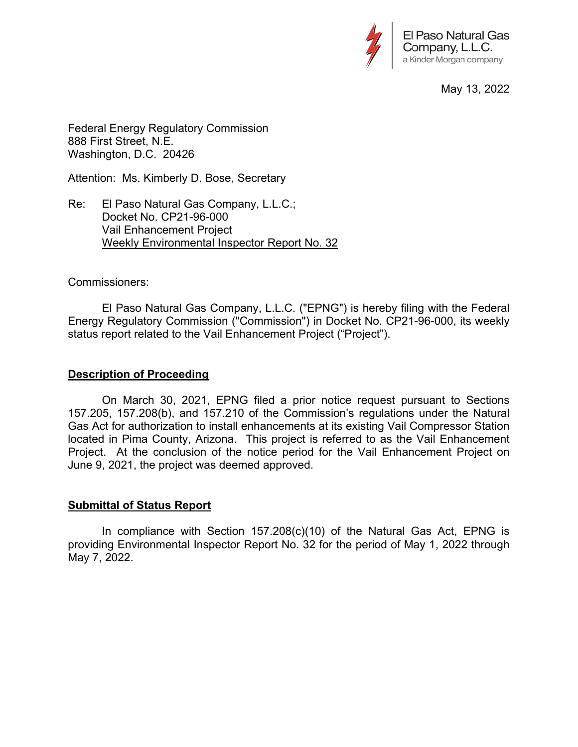

May 13, 2022

Federal Energy Regulatory Commission 888 First Street, N.E. Washington, D.C. 20426

Attention: Ms. Kimberly D. Bose, Secretary

Re: El Paso Natural Gas Company, L.L.C.; Docket No. CP21-96-000 Vail Enhancement Project Weekly Environmental Inspector Report No. 32

### Commissioners:

 El Paso Natural Gas Company, L.L.C. ("EPNG") is hereby filing with the Federal Energy Regulatory Commission ("Commission") in Docket No. CP21-96-000, its weekly status report related to the Vail Enhancement Project ("Project").

### **Description of Proceeding**

 On March 30, 2021, EPNG filed a prior notice request pursuant to Sections 157.205, 157.208(b), and 157.210 of the Commission's regulations under the Natural Gas Act for authorization to install enhancements at its existing Vail Compressor Station located in Pima County, Arizona. This project is referred to as the Vail Enhancement Project. At the conclusion of the notice period for the Vail Enhancement Project on June 9, 2021, the project was deemed approved.

### **Submittal of Status Report**

 In compliance with Section 157.208(c)(10) of the Natural Gas Act, EPNG is providing Environmental Inspector Report No. 32 for the period of May 1, 2022 through May 7, 2022.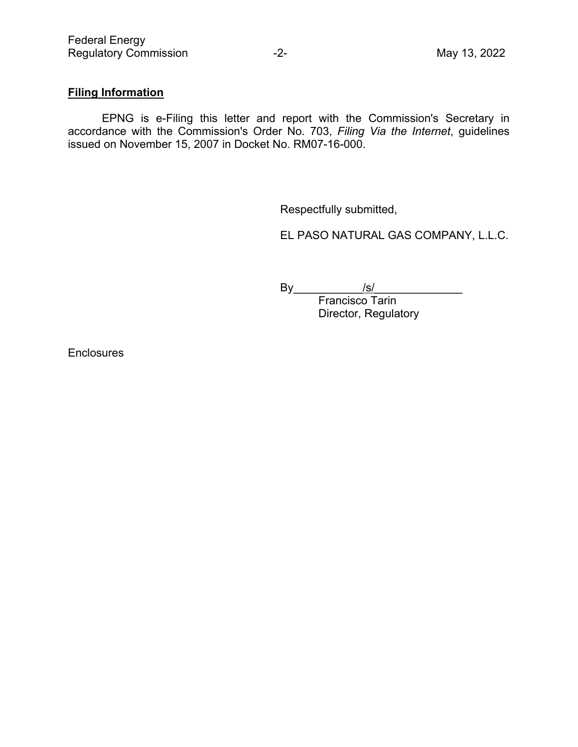# **Filing Information**

 EPNG is e-Filing this letter and report with the Commission's Secretary in accordance with the Commission's Order No. 703, *Filing Via the Internet*, guidelines issued on November 15, 2007 in Docket No. RM07-16-000.

Respectfully submitted,

EL PASO NATURAL GAS COMPANY, L.L.C.

By\_\_\_\_\_\_\_\_\_\_\_/s/\_\_\_\_\_\_\_\_\_\_\_\_\_\_

Francisco Tarin Director, Regulatory

**Enclosures**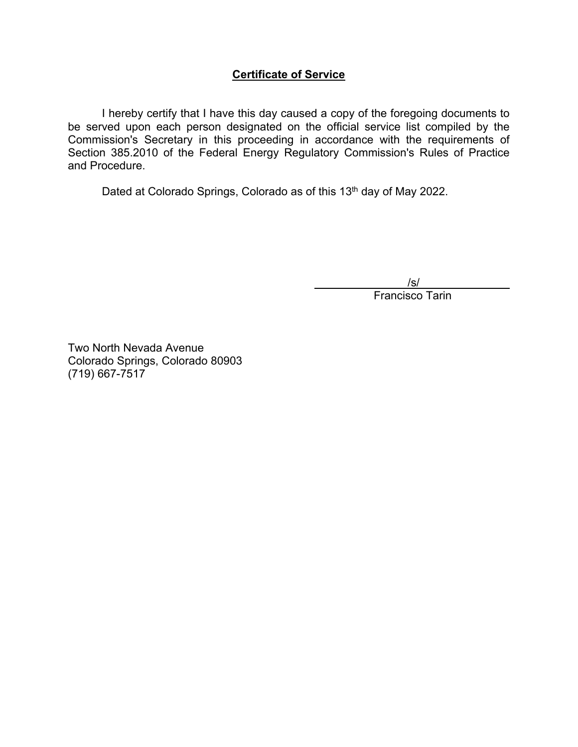## **Certificate of Service**

 I hereby certify that I have this day caused a copy of the foregoing documents to be served upon each person designated on the official service list compiled by the Commission's Secretary in this proceeding in accordance with the requirements of Section 385.2010 of the Federal Energy Regulatory Commission's Rules of Practice and Procedure.

Dated at Colorado Springs, Colorado as of this 13<sup>th</sup> day of May 2022.

/s/

Francisco Tarin

Two North Nevada Avenue Colorado Springs, Colorado 80903 (719) 667-7517